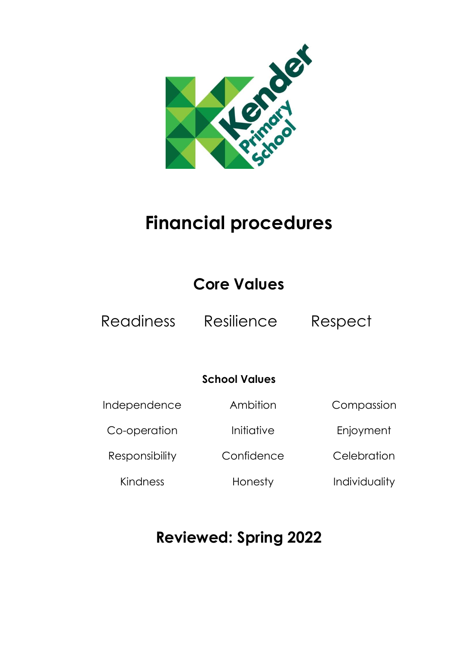

# **Financial procedures**

# **Core Values**

Readiness Resilience Respect

# **School Values**

| Independence          | Ambition   | Compassion    |
|-----------------------|------------|---------------|
| Co-operation          | Initiative | Enjoyment     |
| <b>Responsibility</b> | Confidence | Celebration   |
| Kindness              | Honesty    | Individuality |

# **Reviewed: Spring 2022**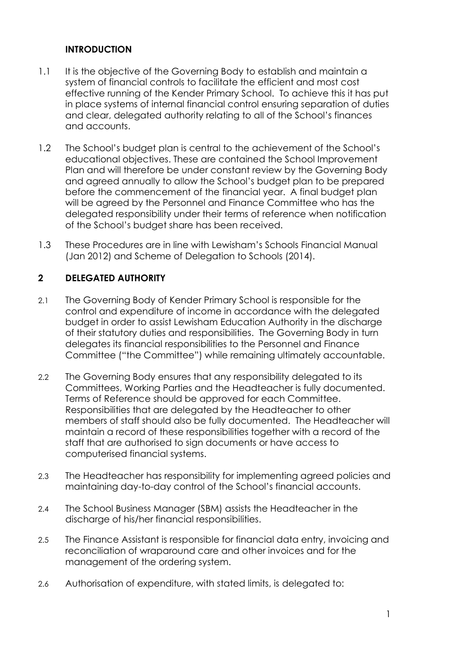# **INTRODUCTION**

- 1.1 It is the objective of the Governing Body to establish and maintain a system of financial controls to facilitate the efficient and most cost effective running of the Kender Primary School. To achieve this it has put in place systems of internal financial control ensuring separation of duties and clear, delegated authority relating to all of the School's finances and accounts.
- 1.2 The School's budget plan is central to the achievement of the School's educational objectives. These are contained the School Improvement Plan and will therefore be under constant review by the Governing Body and agreed annually to allow the School's budget plan to be prepared before the commencement of the financial year. A final budget plan will be agreed by the Personnel and Finance Committee who has the delegated responsibility under their terms of reference when notification of the School's budget share has been received.
- 1.3 These Procedures are in line with Lewisham's Schools Financial Manual (Jan 2012) and Scheme of Delegation to Schools (2014).

# **2 DELEGATED AUTHORITY**

- 2.1 The Governing Body of Kender Primary School is responsible for the control and expenditure of income in accordance with the delegated budget in order to assist Lewisham Education Authority in the discharge of their statutory duties and responsibilities. The Governing Body in turn delegates its financial responsibilities to the Personnel and Finance Committee ("the Committee") while remaining ultimately accountable.
- 2.2 The Governing Body ensures that any responsibility delegated to its Committees, Working Parties and the Headteacher is fully documented. Terms of Reference should be approved for each Committee. Responsibilities that are delegated by the Headteacher to other members of staff should also be fully documented. The Headteacher will maintain a record of these responsibilities together with a record of the staff that are authorised to sign documents or have access to computerised financial systems.
- 2.3 The Headteacher has responsibility for implementing agreed policies and maintaining day-to-day control of the School's financial accounts.
- 2.4 The School Business Manager (SBM) assists the Headteacher in the discharge of his/her financial responsibilities.
- 2.5 The Finance Assistant is responsible for financial data entry, invoicing and reconciliation of wraparound care and other invoices and for the management of the ordering system.
- 2.6 Authorisation of expenditure, with stated limits, is delegated to: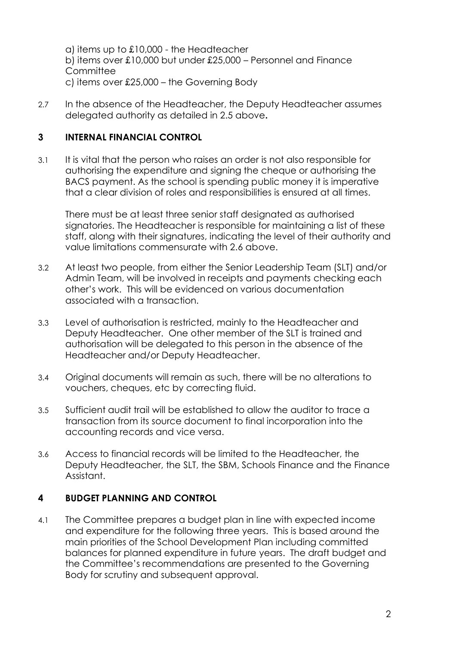a) items up to £10,000 - the Headteacher b) items over £10,000 but under £25,000 – Personnel and Finance **Committee** c) items over £25,000 – the Governing Body

2.7 In the absence of the Headteacher, the Deputy Headteacher assumes delegated authority as detailed in 2.5 above**.**

# **3 INTERNAL FINANCIAL CONTROL**

3.1 It is vital that the person who raises an order is not also responsible for authorising the expenditure and signing the cheque or authorising the BACS payment. As the school is spending public money it is imperative that a clear division of roles and responsibilities is ensured at all times.

There must be at least three senior staff designated as authorised signatories. The Headteacher is responsible for maintaining a list of these staff, along with their signatures, indicating the level of their authority and value limitations commensurate with 2.6 above.

- 3.2 At least two people, from either the Senior Leadership Team (SLT) and/or Admin Team, will be involved in receipts and payments checking each other's work. This will be evidenced on various documentation associated with a transaction.
- 3.3 Level of authorisation is restricted, mainly to the Headteacher and Deputy Headteacher. One other member of the SLT is trained and authorisation will be delegated to this person in the absence of the Headteacher and/or Deputy Headteacher.
- 3.4 Original documents will remain as such, there will be no alterations to vouchers, cheques, etc by correcting fluid.
- 3.5 Sufficient audit trail will be established to allow the auditor to trace a transaction from its source document to final incorporation into the accounting records and vice versa.
- 3.6 Access to financial records will be limited to the Headteacher, the Deputy Headteacher, the SLT, the SBM, Schools Finance and the Finance Assistant.

# **4 BUDGET PLANNING AND CONTROL**

4.1 The Committee prepares a budget plan in line with expected income and expenditure for the following three years. This is based around the main priorities of the School Development Plan including committed balances for planned expenditure in future years. The draft budget and the Committee's recommendations are presented to the Governing Body for scrutiny and subsequent approval.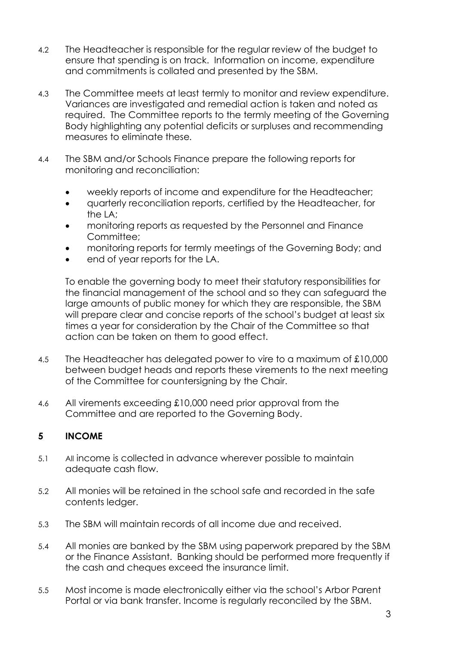- 4.2 The Headteacher is responsible for the regular review of the budget to ensure that spending is on track. Information on income, expenditure and commitments is collated and presented by the SBM.
- 4.3 The Committee meets at least termly to monitor and review expenditure. Variances are investigated and remedial action is taken and noted as required. The Committee reports to the termly meeting of the Governing Body highlighting any potential deficits or surpluses and recommending measures to eliminate these*.*
- 4.4 The SBM and/or Schools Finance prepare the following reports for monitoring and reconciliation:
	- weekly reports of income and expenditure for the Headteacher;
	- quarterly reconciliation reports, certified by the Headteacher, for the LA;
	- monitoring reports as requested by the Personnel and Finance Committee:
	- monitoring reports for termly meetings of the Governing Body; and
	- end of year reports for the LA.

To enable the governing body to meet their statutory responsibilities for the financial management of the school and so they can safeguard the large amounts of public money for which they are responsible, the SBM will prepare clear and concise reports of the school's budget at least six times a year for consideration by the Chair of the Committee so that action can be taken on them to good effect.

- 4.5 The Headteacher has delegated power to vire to a maximum of £10,000 between budget heads and reports these virements to the next meeting of the Committee for countersigning by the Chair.
- 4.6 All virements exceeding £10,000 need prior approval from the Committee and are reported to the Governing Body.

# **5 INCOME**

- 5.1 All income is collected in advance wherever possible to maintain adequate cash flow.
- 5.2 All monies will be retained in the school safe and recorded in the safe contents ledger.
- 5.3 The SBM will maintain records of all income due and received.
- 5.4 All monies are banked by the SBM using paperwork prepared by the SBM or the Finance Assistant. Banking should be performed more frequently if the cash and cheques exceed the insurance limit.
- 5.5 Most income is made electronically either via the school's Arbor Parent Portal or via bank transfer. Income is regularly reconciled by the SBM.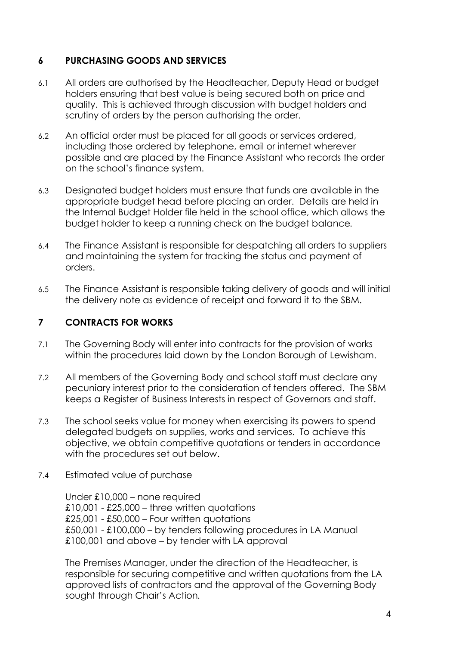# **6 PURCHASING GOODS AND SERVICES**

- 6.1 All orders are authorised by the Headteacher, Deputy Head or budget holders ensuring that best value is being secured both on price and quality. This is achieved through discussion with budget holders and scrutiny of orders by the person authorising the order.
- 6.2 An official order must be placed for all goods or services ordered, including those ordered by telephone, email or internet wherever possible and are placed by the Finance Assistant who records the order on the school's finance system.
- 6.3 Designated budget holders must ensure that funds are available in the appropriate budget head before placing an order. Details are held in the Internal Budget Holder file held in the school office, which allows the budget holder to keep a running check on the budget balance*.*
- 6.4 The Finance Assistant is responsible for despatching all orders to suppliers and maintaining the system for tracking the status and payment of orders.
- 6.5 The Finance Assistant is responsible taking delivery of goods and will initial the delivery note as evidence of receipt and forward it to the SBM.

### **7 CONTRACTS FOR WORKS**

- 7.1 The Governing Body will enter into contracts for the provision of works within the procedures laid down by the London Borough of Lewisham.
- 7.2 All members of the Governing Body and school staff must declare any pecuniary interest prior to the consideration of tenders offered. The SBM keeps a Register of Business Interests in respect of Governors and staff.
- 7.3 The school seeks value for money when exercising its powers to spend delegated budgets on supplies, works and services. To achieve this objective, we obtain competitive quotations or tenders in accordance with the procedures set out below.
- 7.4 Estimated value of purchase

Under £10,000 – none required £10,001 - £25,000 – three written quotations £25,001 - £50,000 – Four written quotations £50,001 - £100,000 – by tenders following procedures in LA Manual £100,001 and above – by tender with LA approval

The Premises Manager, under the direction of the Headteacher, is responsible for securing competitive and written quotations from the LA approved lists of contractors and the approval of the Governing Body sought through Chair's Action*.*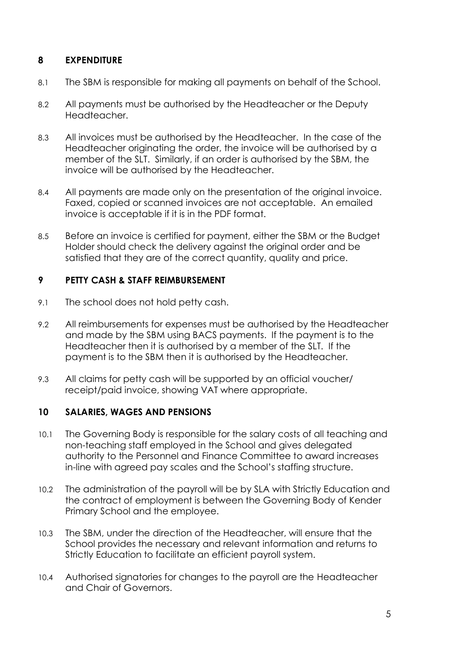# **8 EXPENDITURE**

- 8.1 The SBM is responsible for making all payments on behalf of the School.
- 8.2 All payments must be authorised by the Headteacher or the Deputy Headteacher.
- 8.3 All invoices must be authorised by the Headteacher. In the case of the Headteacher originating the order, the invoice will be authorised by a member of the SLT. Similarly, if an order is authorised by the SBM, the invoice will be authorised by the Headteacher.
- 8.4 All payments are made only on the presentation of the original invoice. Faxed, copied or scanned invoices are not acceptable. An emailed invoice is acceptable if it is in the PDF format.
- 8.5 Before an invoice is certified for payment, either the SBM or the Budget Holder should check the delivery against the original order and be satisfied that they are of the correct quantity, quality and price.

# **9 PETTY CASH & STAFF REIMBURSEMENT**

- 9.1 The school does not hold petty cash.
- 9.2 All reimbursements for expenses must be authorised by the Headteacher and made by the SBM using BACS payments. If the payment is to the Headteacher then it is authorised by a member of the SLT. If the payment is to the SBM then it is authorised by the Headteacher.
- 9.3 All claims for petty cash will be supported by an official voucher/ receipt/paid invoice, showing VAT where appropriate.

# **10 SALARIES, WAGES AND PENSIONS**

- 10.1 The Governing Body is responsible for the salary costs of all teaching and non-teaching staff employed in the School and gives delegated authority to the Personnel and Finance Committee to award increases in-line with agreed pay scales and the School's staffing structure.
- 10.2 The administration of the payroll will be by SLA with Strictly Education and the contract of employment is between the Governing Body of Kender Primary School and the employee.
- 10.3 The SBM, under the direction of the Headteacher, will ensure that the School provides the necessary and relevant information and returns to Strictly Education to facilitate an efficient payroll system.
- 10.4 Authorised signatories for changes to the payroll are the Headteacher and Chair of Governors.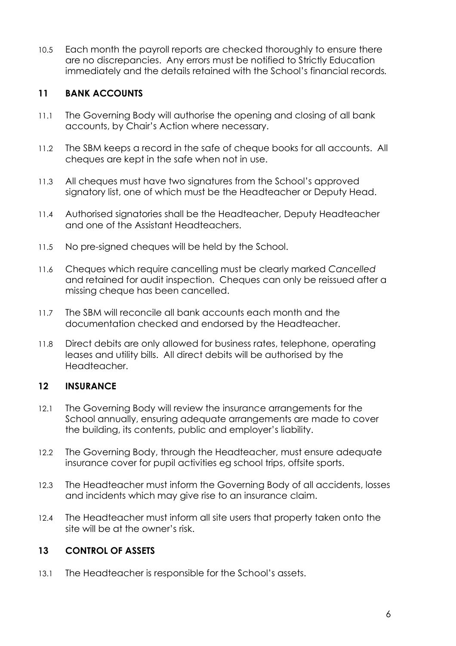10.5 Each month the payroll reports are checked thoroughly to ensure there are no discrepancies. Any errors must be notified to Strictly Education immediately and the details retained with the School's financial records*.*

# **11 BANK ACCOUNTS**

- 11.1 The Governing Body will authorise the opening and closing of all bank accounts, by Chair's Action where necessary.
- 11.2 The SBM keeps a record in the safe of cheque books for all accounts. All cheques are kept in the safe when not in use.
- 11.3 All cheques must have two signatures from the School's approved signatory list, one of which must be the Headteacher or Deputy Head.
- 11.4 Authorised signatories shall be the Headteacher, Deputy Headteacher and one of the Assistant Headteachers.
- 11.5 No pre-signed cheques will be held by the School.
- 11.6 Cheques which require cancelling must be clearly marked *Cancelled* and retained for audit inspection. Cheques can only be reissued after a missing cheque has been cancelled.
- 11.7 The SBM will reconcile all bank accounts each month and the documentation checked and endorsed by the Headteacher.
- 11.8 Direct debits are only allowed for business rates, telephone, operating leases and utility bills. All direct debits will be authorised by the Headteacher.

# **12 INSURANCE**

- 12.1 The Governing Body will review the insurance arrangements for the School annually, ensuring adequate arrangements are made to cover the building, its contents, public and employer's liability.
- 12.2 The Governing Body, through the Headteacher, must ensure adequate insurance cover for pupil activities eg school trips, offsite sports.
- 12.3 The Headteacher must inform the Governing Body of all accidents, losses and incidents which may give rise to an insurance claim.
- 12.4 The Headteacher must inform all site users that property taken onto the site will be at the owner's risk.

# **13 CONTROL OF ASSETS**

13.1 The Headteacher is responsible for the School's assets.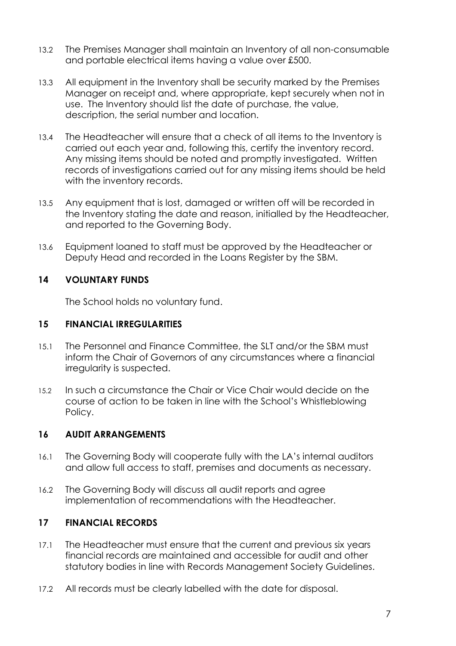- 13.2 The Premises Manager shall maintain an Inventory of all non-consumable and portable electrical items having a value over £500.
- 13.3 All equipment in the Inventory shall be security marked by the Premises Manager on receipt and, where appropriate, kept securely when not in use. The Inventory should list the date of purchase, the value, description, the serial number and location.
- 13.4 The Headteacher will ensure that a check of all items to the Inventory is carried out each year and, following this, certify the inventory record. Any missing items should be noted and promptly investigated. Written records of investigations carried out for any missing items should be held with the inventory records.
- 13.5 Any equipment that is lost, damaged or written off will be recorded in the Inventory stating the date and reason, initialled by the Headteacher, and reported to the Governing Body.
- 13.6 Equipment loaned to staff must be approved by the Headteacher or Deputy Head and recorded in the Loans Register by the SBM.

### **14 VOLUNTARY FUNDS**

The School holds no voluntary fund.

### **15 FINANCIAL IRREGULARITIES**

- 15.1 The Personnel and Finance Committee, the SLT and/or the SBM must inform the Chair of Governors of any circumstances where a financial irregularity is suspected.
- 15.2 In such a circumstance the Chair or Vice Chair would decide on the course of action to be taken in line with the School's Whistleblowing Policy.

### **16 AUDIT ARRANGEMENTS**

- 16.1 The Governing Body will cooperate fully with the LA's internal auditors and allow full access to staff, premises and documents as necessary.
- 16.2 The Governing Body will discuss all audit reports and agree implementation of recommendations with the Headteacher.

# **17 FINANCIAL RECORDS**

- 17.1 The Headteacher must ensure that the current and previous six years financial records are maintained and accessible for audit and other statutory bodies in line with Records Management Society Guidelines.
- 17.2 All records must be clearly labelled with the date for disposal.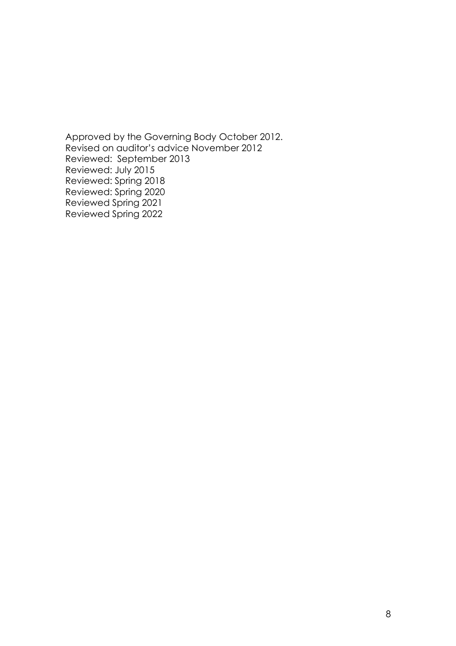Approved by the Governing Body October 2012. Revised on auditor's advice November 2012 Reviewed: September 2013 Reviewed: July 2015 Reviewed: Spring 2018 Reviewed: Spring 2020 Reviewed Spring 2021 Reviewed Spring 2022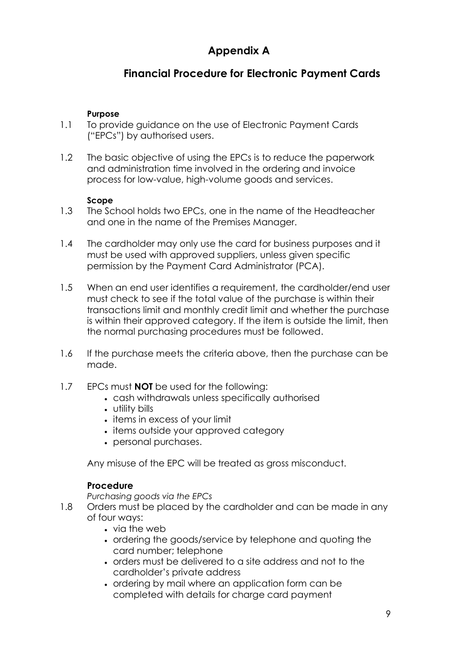# **Appendix A**

# **Financial Procedure for Electronic Payment Cards**

### **Purpose**

- 1.1 To provide guidance on the use of Electronic Payment Cards ("EPCs") by authorised users.
- 1.2 The basic objective of using the EPCs is to reduce the paperwork and administration time involved in the ordering and invoice process for low-value, high-volume goods and services.

### **Scope**

- 1.3 The School holds two EPCs, one in the name of the Headteacher and one in the name of the Premises Manager.
- 1.4 The cardholder may only use the card for business purposes and it must be used with approved suppliers, unless given specific permission by the Payment Card Administrator (PCA).
- 1.5 When an end user identifies a requirement, the cardholder/end user must check to see if the total value of the purchase is within their transactions limit and monthly credit limit and whether the purchase is within their approved category. If the item is outside the limit, then the normal purchasing procedures must be followed.
- 1.6 If the purchase meets the criteria above, then the purchase can be made.
- 1.7 EPCs must **NOT** be used for the following:
	- cash withdrawals unless specifically authorised
	- utility bills
	- items in excess of your limit
	- items outside your approved category
	- personal purchases.

Any misuse of the EPC will be treated as gross misconduct.

### **Procedure**

*Purchasing goods via the EPCs*

- 1.8 Orders must be placed by the cardholder and can be made in any of four ways:
	- via the web
	- ordering the goods/service by telephone and quoting the card number; telephone
	- orders must be delivered to a site address and not to the cardholder's private address
	- ordering by mail where an application form can be completed with details for charge card payment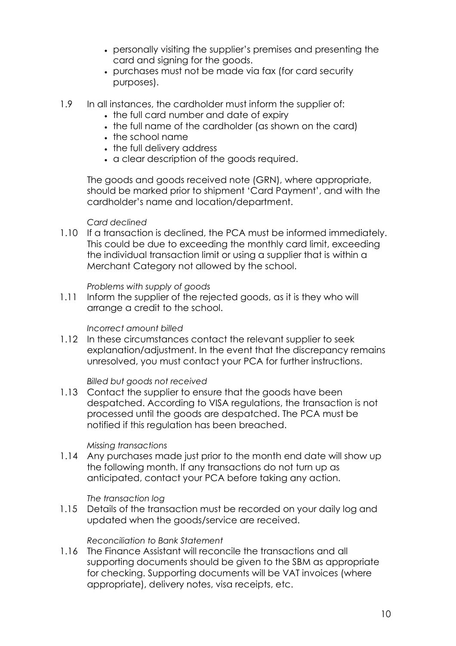- personally visiting the supplier's premises and presenting the card and signing for the goods.
- purchases must not be made via fax (for card security purposes).
- 1.9 In all instances, the cardholder must inform the supplier of:
	- the full card number and date of expiry
	- the full name of the cardholder (as shown on the card)
	- the school name
	- the full delivery address
	- a clear description of the goods required.

The goods and goods received note (GRN), where appropriate, should be marked prior to shipment 'Card Payment', and with the cardholder's name and location/department.

#### *Card declined*

1.10 If a transaction is declined, the PCA must be informed immediately. This could be due to exceeding the monthly card limit, exceeding the individual transaction limit or using a supplier that is within a Merchant Category not allowed by the school.

*Problems with supply of goods*

1.11 Inform the supplier of the rejected goods, as it is they who will arrange a credit to the school.

### *Incorrect amount billed*

1.12 In these circumstances contact the relevant supplier to seek explanation/adjustment. In the event that the discrepancy remains unresolved, you must contact your PCA for further instructions.

### *Billed but goods not received*

1.13 Contact the supplier to ensure that the goods have been despatched. According to VISA regulations, the transaction is not processed until the goods are despatched. The PCA must be notified if this regulation has been breached.

#### *Missing transactions*

1.14 Any purchases made just prior to the month end date will show up the following month. If any transactions do not turn up as anticipated, contact your PCA before taking any action.

#### *The transaction log*

1.15 Details of the transaction must be recorded on your daily log and updated when the goods/service are received.

### *Reconciliation to Bank Statement*

1.16 The Finance Assistant will reconcile the transactions and all supporting documents should be given to the SBM as appropriate for checking. Supporting documents will be VAT invoices (where appropriate), delivery notes, visa receipts, etc.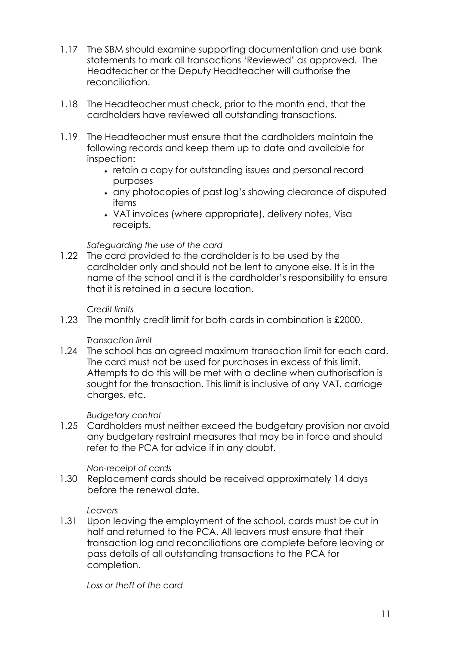- 1.17 The SBM should examine supporting documentation and use bank statements to mark all transactions 'Reviewed' as approved. The Headteacher or the Deputy Headteacher will authorise the reconciliation.
- 1.18 The Headteacher must check, prior to the month end, that the cardholders have reviewed all outstanding transactions.
- 1.19 The Headteacher must ensure that the cardholders maintain the following records and keep them up to date and available for inspection:
	- retain a copy for outstanding issues and personal record purposes
	- any photocopies of past log's showing clearance of disputed items
	- VAT invoices (where appropriate), delivery notes, Visa receipts.

### *Safeguarding the use of the card*

1.22 The card provided to the cardholder is to be used by the cardholder only and should not be lent to anyone else. It is in the name of the school and it is the cardholder's responsibility to ensure that it is retained in a secure location.

### *Credit limits*

1.23 The monthly credit limit for both cards in combination is £2000.

### *Transaction limit*

1.24 The school has an agreed maximum transaction limit for each card. The card must not be used for purchases in excess of this limit. Attempts to do this will be met with a decline when authorisation is sought for the transaction. This limit is inclusive of any VAT, carriage charges, etc.

### *Budgetary control*

1.25 Cardholders must neither exceed the budgetary provision nor avoid any budgetary restraint measures that may be in force and should refer to the PCA for advice if in any doubt.

### *Non-receipt of cards*

1.30 Replacement cards should be received approximately 14 days before the renewal date.

### *Leavers*

1.31 Upon leaving the employment of the school, cards must be cut in half and returned to the PCA. All leavers must ensure that their transaction log and reconciliations are complete before leaving or pass details of all outstanding transactions to the PCA for completion.

*Loss or theft of the card*